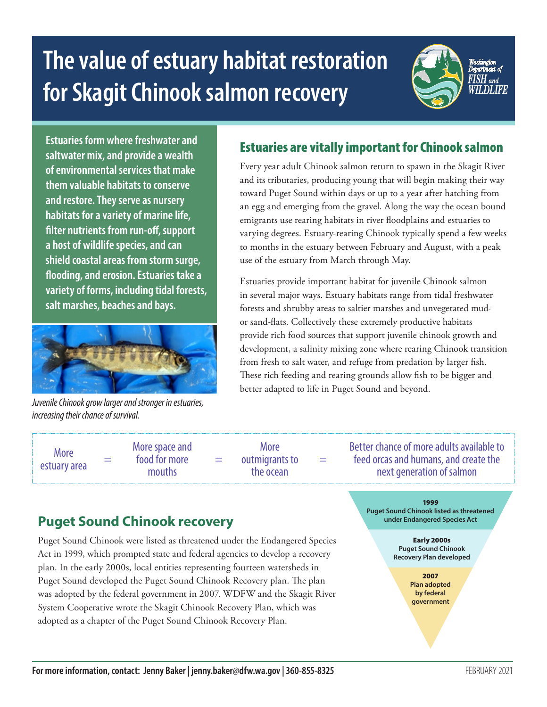# **The value of estuary habitat restoration for Skagit Chinook salmon recovery**



**Estuaries form where freshwater and saltwater mix, and provide a wealth of environmental services that make them valuable habitats to conserve and restore. They serve as nursery habitats for a variety of marine life, filter nutrients from run-off, support a host of wildlife species, and can shield coastal areas from storm surge, flooding, and erosion. Estuaries take a variety of forms, including tidal forests, salt marshes, beaches and bays.** 



*Juvenile Chinook grow larger and stronger in estuaries, increasing their chance of survival.*

## Estuaries are vitally important for Chinook salmon

Every year adult Chinook salmon return to spawn in the Skagit River and its tributaries, producing young that will begin making their way toward Puget Sound within days or up to a year after hatching from an egg and emerging from the gravel. Along the way the ocean bound emigrants use rearing habitats in river floodplains and estuaries to varying degrees. Estuary-rearing Chinook typically spend a few weeks to months in the estuary between February and August, with a peak use of the estuary from March through May.

Estuaries provide important habitat for juvenile Chinook salmon in several major ways. Estuary habitats range from tidal freshwater forests and shrubby areas to saltier marshes and unvegetated mudor sand-flats. Collectively these extremely productive habitats provide rich food sources that support juvenile chinook growth and development, a salinity mixing zone where rearing Chinook transition from fresh to salt water, and refuge from predation by larger fish. These rich feeding and rearing grounds allow fish to be bigger and better adapted to life in Puget Sound and beyond.

More  $\frac{m}{2}$  = More space and food for more mouths

=

More outmigrants to the ocean

=

Better chance of more adults available to feed orcas and humans, and create the next generation of salmon

## **Puget Sound Chinook recovery**

Puget Sound Chinook were listed as threatened under the Endangered Species Act in 1999, which prompted state and federal agencies to develop a recovery plan. In the early 2000s, local entities representing fourteen watersheds in Puget Sound developed the Puget Sound Chinook Recovery plan. The plan was adopted by the federal government in 2007. WDFW and the Skagit River System Cooperative wrote the Skagit Chinook Recovery Plan, which was adopted as a chapter of the Puget Sound Chinook Recovery Plan.

1999 **Puget Sound Chinook listed as threatened under Endangered Species Act**

> Early 2000s **Puget Sound Chinook Recovery Plan developed**

> > 2007 **Plan adopted by federal government**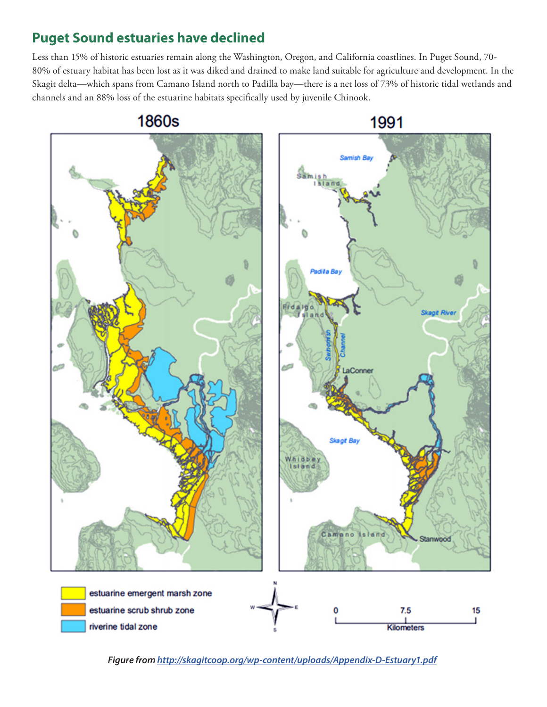# **Puget Sound estuaries have declined**

Less than 15% of historic estuaries remain along the Washington, Oregon, and California coastlines. In Puget Sound, 70- 80% of estuary habitat has been lost as it was diked and drained to make land suitable for agriculture and development. In the Skagit delta—which spans from Camano Island north to Padilla bay—there is a net loss of 73% of historic tidal wetlands and channels and an 88% loss of the estuarine habitats specifically used by juvenile Chinook.



*Figure from http://skagitcoop.org/wp-content/uploads/Appendix-D-Estuary1.pdf*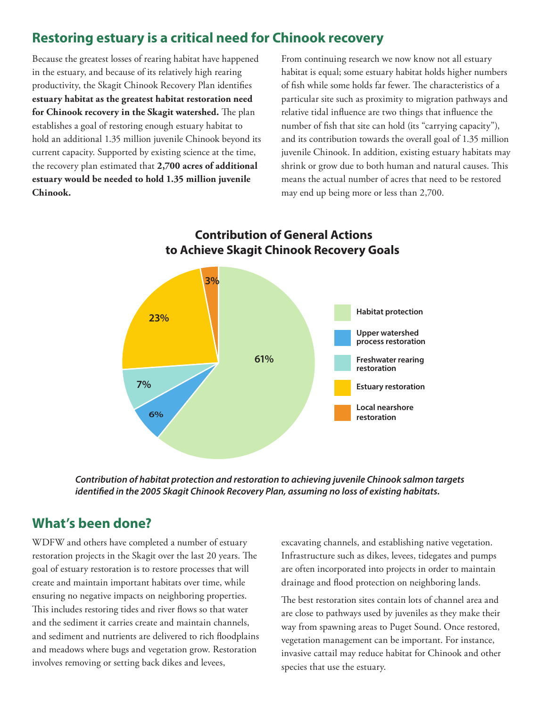## **Restoring estuary is a critical need for Chinook recovery**

Because the greatest losses of rearing habitat have happened in the estuary, and because of its relatively high rearing productivity, the Skagit Chinook Recovery Plan identifies **estuary habitat as the greatest habitat restoration need for Chinook recovery in the Skagit watershed.** The plan establishes a goal of restoring enough estuary habitat to hold an additional 1.35 million juvenile Chinook beyond its current capacity. Supported by existing science at the time, the recovery plan estimated that **2,700 acres of additional estuary would be needed to hold 1.35 million juvenile Chinook.**

From continuing research we now know not all estuary habitat is equal; some estuary habitat holds higher numbers of fish while some holds far fewer. The characteristics of a particular site such as proximity to migration pathways and relative tidal influence are two things that influence the number of fish that site can hold (its "carrying capacity"), and its contribution towards the overall goal of 1.35 million juvenile Chinook. In addition, existing estuary habitats may shrink or grow due to both human and natural causes. This means the actual number of acres that need to be restored may end up being more or less than 2,700.



*Contribution of habitat protection and restoration to achieving juvenile Chinook salmon targets identified in the 2005 Skagit Chinook Recovery Plan, assuming no loss of existing habitats.*

#### **What's been done?**

WDFW and others have completed a number of estuary restoration projects in the Skagit over the last 20 years. The goal of estuary restoration is to restore processes that will create and maintain important habitats over time, while ensuring no negative impacts on neighboring properties. This includes restoring tides and river flows so that water and the sediment it carries create and maintain channels, and sediment and nutrients are delivered to rich floodplains and meadows where bugs and vegetation grow. Restoration involves removing or setting back dikes and levees,

excavating channels, and establishing native vegetation. Infrastructure such as dikes, levees, tidegates and pumps are often incorporated into projects in order to maintain drainage and flood protection on neighboring lands.

The best restoration sites contain lots of channel area and are close to pathways used by juveniles as they make their way from spawning areas to Puget Sound. Once restored, vegetation management can be important. For instance, invasive cattail may reduce habitat for Chinook and other species that use the estuary.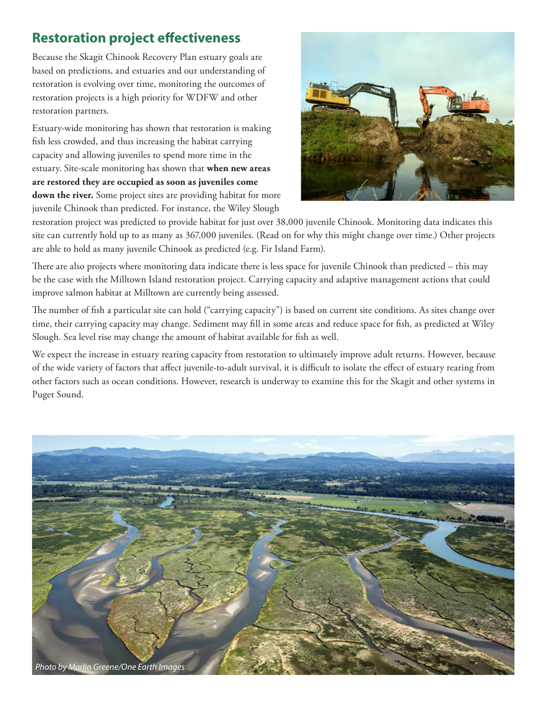# **Restoration project effectiveness**

Because the Skagit Chinook Recovery Plan estuary goals are based on predictions, and estuaries and our understanding of restoration is evolving over time, monitoring the outcomes of restoration projects is a high priority for WDFW and other restoration partners.

Estuary-wide monitoring has shown that restoration is making fish less crowded, and thus increasing the habitat carrying capacity and allowing juveniles to spend more time in the estuary. Site-scale monitoring has shown that **when new areas are restored they are occupied as soon as juveniles come**  down the river. Some project sites are providing habitat for more juvenile Chinook than predicted. For instance, the Wiley Slough



restoration project was predicted to provide habitat for just over 38,000 juvenile Chinook. Monitoring data indicates this site can currently hold up to as many as 367,000 juveniles. (Read on for why this might change over time.) Other projects are able to hold as many juvenile Chinook as predicted (e.g. Fir Island Farm).

There are also projects where monitoring data indicate there is less space for juvenile Chinook than predicted – this may be the case with the Milltown Island restoration project. Carrying capacity and adaptive management actions that could improve salmon habitat at Milltown are currently being assessed.

The number of fish a particular site can hold ("carrying capacity") is based on current site conditions. As sites change over time, their carrying capacity may change. Sediment may fill in some areas and reduce space for fish, as predicted at Wiley Slough. Sea level rise may change the amount of habitat available for fish as well.

We expect the increase in estuary rearing capacity from restoration to ultimately improve adult returns. However, because of the wide variety of factors that affect juvenile-to-adult survival, it is difficult to isolate the effect of estuary rearing from other factors such as ocean conditions. However, research is underway to examine this for the Skagit and other systems in Puget Sound.

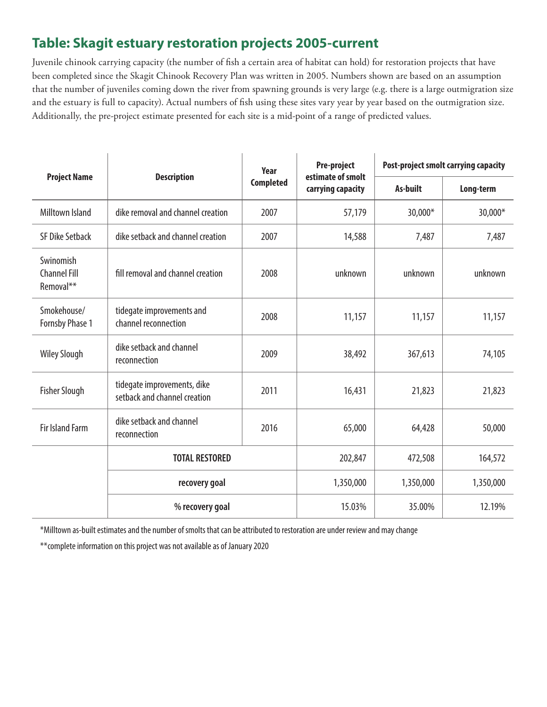# **Table: Skagit estuary restoration projects 2005-current**

Juvenile chinook carrying capacity (the number of fish a certain area of habitat can hold) for restoration projects that have been completed since the Skagit Chinook Recovery Plan was written in 2005. Numbers shown are based on an assumption that the number of juveniles coming down the river from spawning grounds is very large (e.g. there is a large outmigration size and the estuary is full to capacity). Actual numbers of fish using these sites vary year by year based on the outmigration size. Additionally, the pre-project estimate presented for each site is a mid-point of a range of predicted values.

| <b>Project Name</b>                           | <b>Description</b>                                          | Year<br><b>Completed</b> | Pre-project<br>estimate of smolt<br>carrying capacity | Post-project smolt carrying capacity |           |
|-----------------------------------------------|-------------------------------------------------------------|--------------------------|-------------------------------------------------------|--------------------------------------|-----------|
|                                               |                                                             |                          |                                                       | As-built                             | Long-term |
| <b>Milltown Island</b>                        | dike removal and channel creation                           | 2007                     | 57,179                                                | 30,000*                              | 30,000*   |
| <b>SF Dike Setback</b>                        | dike setback and channel creation                           | 2007                     | 14,588                                                | 7,487                                | 7,487     |
| Swinomish<br><b>Channel Fill</b><br>Removal** | fill removal and channel creation                           | 2008                     | unknown                                               | unknown                              | unknown   |
| Smokehouse/<br>Fornsby Phase 1                | tidegate improvements and<br>channel reconnection           | 2008                     | 11,157                                                | 11,157                               | 11,157    |
| <b>Wiley Slough</b>                           | dike setback and channel<br>reconnection                    | 2009                     | 38,492                                                | 367,613                              | 74,105    |
| <b>Fisher Slough</b>                          | tidegate improvements, dike<br>setback and channel creation | 2011                     | 16,431                                                | 21,823                               | 21,823    |
| <b>Fir Island Farm</b>                        | dike setback and channel<br>reconnection                    | 2016                     | 65,000                                                | 64,428                               | 50,000    |
|                                               | <b>TOTAL RESTORED</b>                                       |                          | 202,847                                               | 472,508                              | 164,572   |
|                                               | recovery goal                                               |                          | 1,350,000                                             | 1,350,000                            | 1,350,000 |
|                                               | % recovery goal                                             |                          | 15.03%                                                | 35.00%                               | 12.19%    |

\*Milltown as-built estimates and the number of smolts that can be attributed to restoration are under review and may change

\*\*complete information on this project was not available as of January 2020